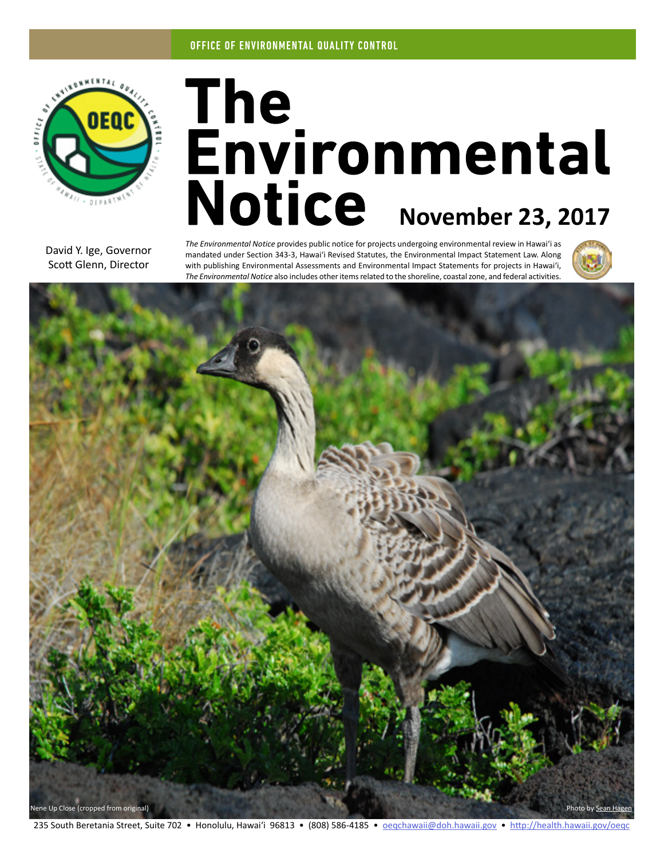

# The<br>Environmental Notice November 23, 2017

David Y. Ige, Governor Scott Glenn, Director

*The Environmental Notice* provides public notice for projects undergoing environmental review in Hawaiʻi as mandated under Section 343-3, Hawaiʻi Revised Statutes, the Environmental Impact Statement Law. Along with publishing Environmental Assessments and Environmental Impact Statements for projects in Hawaiʻi, *The Environmental Notice* also includes other items related to the shoreline, coastal zone, and federal activities.





235 South Beretania Street, Suite 702 • Honolulu, Hawai'i 96813 • (808) 586-4185 • [oeqchawaii@doh.hawaii.gov](mailto:oeqchawaii%40doh.hawaii.gov?subject=) • <http://health.hawaii.gov/oeqc>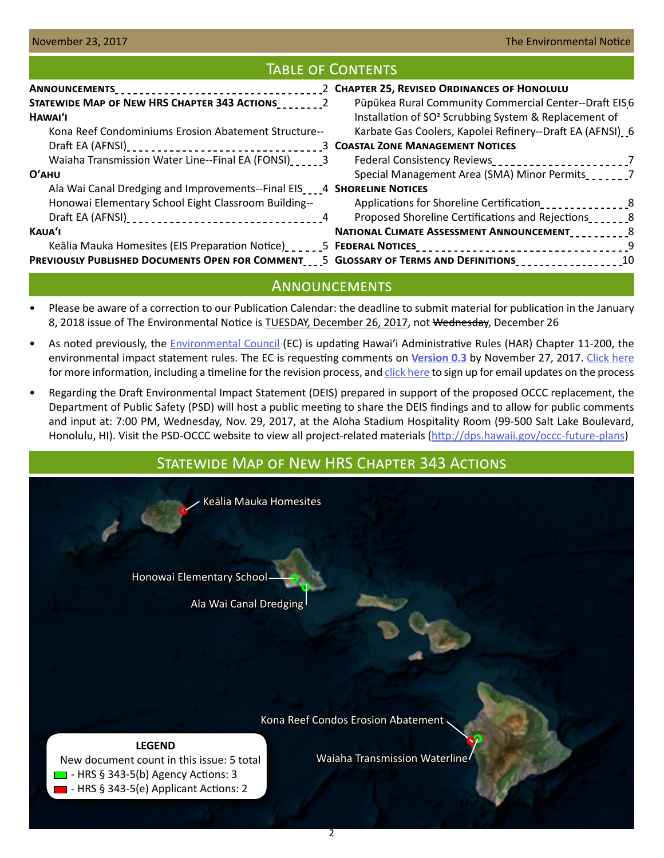## Table of Contents

|                                                                                      | 2 CHAPTER 25, REVISED ORDINANCES OF HONOLULU                                                                 |
|--------------------------------------------------------------------------------------|--------------------------------------------------------------------------------------------------------------|
|                                                                                      | Pūpūkea Rural Community Commercial Center--Draft EIS6                                                        |
| HAWAI'I                                                                              | Installation of SO <sup>2</sup> Scrubbing System & Replacement of                                            |
| Kona Reef Condominiums Erosion Abatement Structure--                                 | Karbate Gas Coolers, Kapolei Refinery--Draft EA (AFNSI) 6                                                    |
|                                                                                      |                                                                                                              |
| Waiaha Transmission Water Line--Final EA (FONSI)                                     |                                                                                                              |
| O'AHU                                                                                | Special Management Area (SMA) Minor Permits_______7                                                          |
| Ala Wai Canal Dredging and Improvements--Final EIS <sub>2224</sub> SHORELINE NOTICES |                                                                                                              |
| Honowai Elementary School Eight Classroom Building--                                 | Applications for Shoreline Certification                                                                     |
|                                                                                      | Proposed Shoreline Certifications and Rejections                                                             |
| <b>KAUA'I</b>                                                                        | NATIONAL CLIMATE ASSESSMENT ANNOUNCEMENT 8                                                                   |
|                                                                                      | Keālia Mauka Homesites (EIS Preparation Notice) ______5 FEDERAL NOTICES __________________________________9  |
|                                                                                      | PREVIOUSLY PUBLISHED DOCUMENTS OPEN FOR COMMENT____5 GLOSSARY OF TERMS AND DEFINITIONS____________________10 |

## **ANNOUNCEMENTS**

- Please be aware of a correction to our Publication Calendar: the deadline to submit material for publication in the January 8, 2018 issue of The Environmental Notice is TUESDAY, December 26, 2017, not Wednesday, December 26
- As noted previously, the **Environmental Council** (EC) is updating Hawai'i Administrative Rules (HAR) Chapter 11-200, the environmental impact statement rules. The EC is requesting comments on **[Version 0.3](https://oeqc.civicomment.org/version-03-har-11-200a)** by November 27, 2017. [Click here](http://health.hawaii.gov/oeqc/rules-update/) for more information, including a timeline for the revision process, and [click here](http://eepurl.com/cYjIuL) to sign up for email updates on the process
- Regarding the Draft Environmental Impact Statement (DEIS) prepared in support of the proposed OCCC replacement, the Department of Public Safety (PSD) will host a public meeting to share the DEIS findings and to allow for public comments and input at: 7:00 PM, Wednesday, Nov. 29, 2017, at the Aloha Stadium Hospitality Room (99-500 Salt Lake Boulevard, Honolulu, HI). Visit the PSD-OCCC website to view all project-related materials [\(http://dps.hawaii.gov/occc-future-plans](http://dps.hawaii.gov/occc-future-plans))

# Statewide Map of New HRS Chapter 343 Actions

Keālia Mauka Homesites

Honowai Elementary School

Ala Wai Canal Dredging

Kona Reef Condos Erosion Abatement

Waiaha Transmission Waterline

#### **LEGEND**

 New document count in this issue: 5 total  $\Box$  - HRS § 343-5(b) Agency Actions: 3  $\blacksquare$  - HRS § 343-5(e) Applicant Actions: 2

2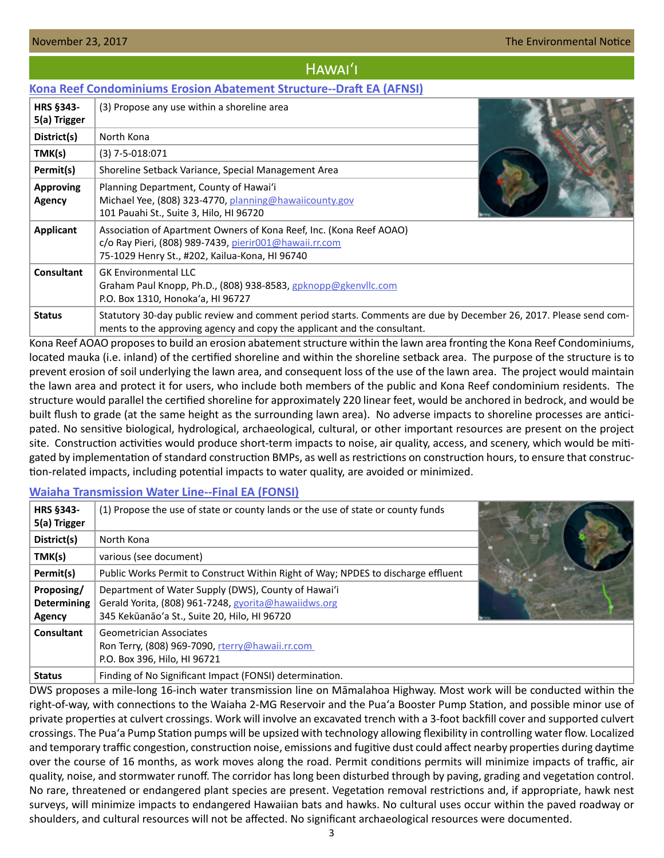## Hawaiʻi

## <span id="page-2-0"></span>**[Kona Reef Condominiums Erosion Abatement Structure--Draft EA \(AFNSI\)](http://oeqc2.doh.hawaii.gov/EA_EIS_Library/2017-11-23-HA-DEA-Kona-Reef-Condominiums-Erosion-Abatement.pdf)**

| <b>HRS §343-</b><br>5(a) Trigger | (3) Propose any use within a shoreline area                                                                                                                                                   |  |
|----------------------------------|-----------------------------------------------------------------------------------------------------------------------------------------------------------------------------------------------|--|
| District(s)                      | North Kona                                                                                                                                                                                    |  |
| TMK(s)                           | $(3)$ 7-5-018:071                                                                                                                                                                             |  |
| Permit(s)                        | Shoreline Setback Variance, Special Management Area                                                                                                                                           |  |
| <b>Approving</b><br>Agency       | Planning Department, County of Hawai'i<br>Michael Yee, (808) 323-4770, planning@hawaiicounty.gov<br>101 Pauahi St., Suite 3, Hilo, HI 96720                                                   |  |
| <b>Applicant</b>                 | Association of Apartment Owners of Kona Reef, Inc. (Kona Reef AOAO)<br>c/o Ray Pieri, (808) 989-7439, pierir001@hawaii.rr.com<br>75-1029 Henry St., #202, Kailua-Kona, HI 96740               |  |
| <b>Consultant</b>                | <b>GK Environmental LLC</b><br>Graham Paul Knopp, Ph.D., (808) 938-8583, gpknopp@gkenvllc.com<br>P.O. Box 1310, Honoka'a, HI 96727                                                            |  |
| <b>Status</b>                    | Statutory 30-day public review and comment period starts. Comments are due by December 26, 2017. Please send com-<br>ments to the approving agency and copy the applicant and the consultant. |  |

Kona Reef AOAO proposes to build an erosion abatement structure within the lawn area fronting the Kona Reef Condominiums, located mauka (i.e. inland) of the certified shoreline and within the shoreline setback area. The purpose of the structure is to prevent erosion of soil underlying the lawn area, and consequent loss of the use of the lawn area. The project would maintain the lawn area and protect it for users, who include both members of the public and Kona Reef condominium residents. The structure would parallel the certified shoreline for approximately 220 linear feet, would be anchored in bedrock, and would be built flush to grade (at the same height as the surrounding lawn area). No adverse impacts to shoreline processes are anticipated. No sensitive biological, hydrological, archaeological, cultural, or other important resources are present on the project site. Construction activities would produce short-term impacts to noise, air quality, access, and scenery, which would be mitigated by implementation of standard construction BMPs, as well as restrictions on construction hours, to ensure that construction-related impacts, including potential impacts to water quality, are avoided or minimized.

## **[Waiaha Transmission Water Line--Final EA \(FONSI\)](http://oeqc2.doh.hawaii.gov/EA_EIS_Library/2017-11-23-HA-FEA-Waiaha-Transmission-Waterline.pdf)**

| <b>HRS §343-</b><br>5(a) Trigger           | (1) Propose the use of state or county lands or the use of state or county funds                                                                            |  |
|--------------------------------------------|-------------------------------------------------------------------------------------------------------------------------------------------------------------|--|
| District(s)                                | North Kona                                                                                                                                                  |  |
| TMK(s)                                     | various (see document)                                                                                                                                      |  |
| Permit(s)                                  | Public Works Permit to Construct Within Right of Way; NPDES to discharge effluent                                                                           |  |
| Proposing/<br><b>Determining</b><br>Agency | Department of Water Supply (DWS), County of Hawai'i<br>Gerald Yorita, (808) 961-7248, gyorita@hawaiidws.org<br>345 Kekūanāo'a St., Suite 20, Hilo, HI 96720 |  |
| Consultant                                 | <b>Geometrician Associates</b><br>Ron Terry, (808) 969-7090, rterry@hawaii.rr.com<br>P.O. Box 396, Hilo, HI 96721                                           |  |
| <b>Status</b>                              | Finding of No Significant Impact (FONSI) determination.                                                                                                     |  |

DWS proposes a mile-long 16-inch water transmission line on Māmalahoa Highway. Most work will be conducted within the right-of-way, with connections to the Waiaha 2-MG Reservoir and the Puaʻa Booster Pump Station, and possible minor use of private properties at culvert crossings. Work will involve an excavated trench with a 3-foot backfill cover and supported culvert crossings. The Puaʻa Pump Station pumps will be upsized with technology allowing flexibility in controlling water flow. Localized and temporary traffic congestion, construction noise, emissions and fugitive dust could affect nearby properties during daytime over the course of 16 months, as work moves along the road. Permit conditions permits will minimize impacts of traffic, air quality, noise, and stormwater runoff. The corridor has long been disturbed through by paving, grading and vegetation control. No rare, threatened or endangered plant species are present. Vegetation removal restrictions and, if appropriate, hawk nest surveys, will minimize impacts to endangered Hawaiian bats and hawks. No cultural uses occur within the paved roadway or shoulders, and cultural resources will not be affected. No significant archaeological resources were documented.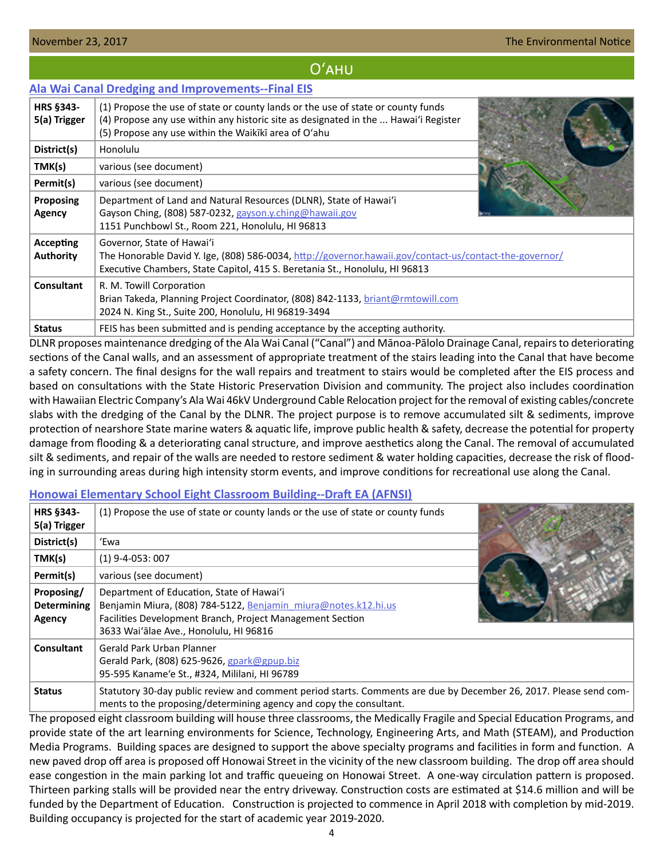## Oʻahu

#### <span id="page-3-0"></span>**[Ala Wai Canal Dredging and Improvements--Final EIS](http://oeqc2.doh.hawaii.gov/EA_EIS_Library/2017-11-23-OA-FEIS-Ala-Wai-Canal-Dredging-and-Improvements.pdf)**

| <b>HRS §343-</b><br>5(a) Trigger | (1) Propose the use of state or county lands or the use of state or county funds<br>(4) Propose any use within any historic site as designated in the  Hawai'i Register<br>(5) Propose any use within the Waikiki area of O'ahu |
|----------------------------------|---------------------------------------------------------------------------------------------------------------------------------------------------------------------------------------------------------------------------------|
| District(s)                      | <b>Honolulu</b>                                                                                                                                                                                                                 |
| TMK(s)                           | various (see document)                                                                                                                                                                                                          |
| Permit(s)                        | various (see document)                                                                                                                                                                                                          |
| Proposing<br><b>Agency</b>       | Department of Land and Natural Resources (DLNR), State of Hawai'i<br>Gayson Ching, (808) 587-0232, gayson.y.ching@hawaii.gov<br>1151 Punchbowl St., Room 221, Honolulu, HI 96813                                                |
| Accepting<br><b>Authority</b>    | Governor, State of Hawai'i<br>The Honorable David Y. Ige, (808) 586-0034, http://governor.hawaii.gov/contact-us/contact-the-governor/<br>Executive Chambers, State Capitol, 415 S. Beretania St., Honolulu, HI 96813            |
| <b>Consultant</b>                | R. M. Towill Corporation<br>Brian Takeda, Planning Project Coordinator, (808) 842-1133, briant@rmtowill.com<br>2024 N. King St., Suite 200, Honolulu, HI 96819-3494                                                             |
| <b>Status</b>                    | FEIS has been submitted and is pending acceptance by the accepting authority.                                                                                                                                                   |

DLNR proposes maintenance dredging of the Ala Wai Canal ("Canal") and Mānoa-Pālolo Drainage Canal, repairs to deteriorating sections of the Canal walls, and an assessment of appropriate treatment of the stairs leading into the Canal that have become a safety concern. The final designs for the wall repairs and treatment to stairs would be completed after the EIS process and based on consultations with the State Historic Preservation Division and community. The project also includes coordination with Hawaiian Electric Company's Ala Wai 46kV Underground Cable Relocation project for the removal of existing cables/concrete slabs with the dredging of the Canal by the DLNR. The project purpose is to remove accumulated silt & sediments, improve protection of nearshore State marine waters & aquatic life, improve public health & safety, decrease the potential for property damage from flooding & a deteriorating canal structure, and improve aesthetics along the Canal. The removal of accumulated silt & sediments, and repair of the walls are needed to restore sediment & water holding capacities, decrease the risk of flooding in surrounding areas during high intensity storm events, and improve conditions for recreational use along the Canal.

## **[Honowai Elementary School Eight Classroom Building--Draft EA \(AFNSI\)](http://oeqc2.doh.hawaii.gov/EA_EIS_Library/2017-11-23-OA-DEA-Honowai-Elementary-School.pdf)**

| HRS §343-<br>5(a) Trigger                         | (1) Propose the use of state or county lands or the use of state or county funds                                                                                                                                   |  |
|---------------------------------------------------|--------------------------------------------------------------------------------------------------------------------------------------------------------------------------------------------------------------------|--|
| District(s)                                       | 'Ewa                                                                                                                                                                                                               |  |
| TMK(s)                                            | $(1)$ 9-4-053: 007                                                                                                                                                                                                 |  |
| Permit(s)                                         | various (see document)                                                                                                                                                                                             |  |
| Proposing/<br><b>Determining</b><br><b>Agency</b> | Department of Education, State of Hawai'i<br>Benjamin Miura, (808) 784-5122, Benjamin miura@notes.k12.hi.us<br>Facilities Development Branch, Project Management Section<br>3633 Wai'alae Ave., Honolulu, HI 96816 |  |
| Consultant                                        | Gerald Park Urban Planner<br>Gerald Park, (808) 625-9626, gpark@gpup.biz<br>95-595 Kaname'e St., #324, Mililani, HI 96789                                                                                          |  |
| <b>Status</b>                                     | Statutory 30-day public review and comment period starts. Comments are due by December 26, 2017. Please send com-<br>ments to the proposing/determining agency and copy the consultant.                            |  |

The proposed eight classroom building will house three classrooms, the Medically Fragile and Special Education Programs, and provide state of the art learning environments for Science, Technology, Engineering Arts, and Math (STEAM), and Production Media Programs. Building spaces are designed to support the above specialty programs and facilities in form and function. A new paved drop off area is proposed off Honowai Street in the vicinity of the new classroom building. The drop off area should ease congestion in the main parking lot and traffic queueing on Honowai Street. A one-way circulation pattern is proposed. Thirteen parking stalls will be provided near the entry driveway. Construction costs are estimated at \$14.6 million and will be funded by the Department of Education. Construction is projected to commence in April 2018 with completion by mid-2019. Building occupancy is projected for the start of academic year 2019-2020.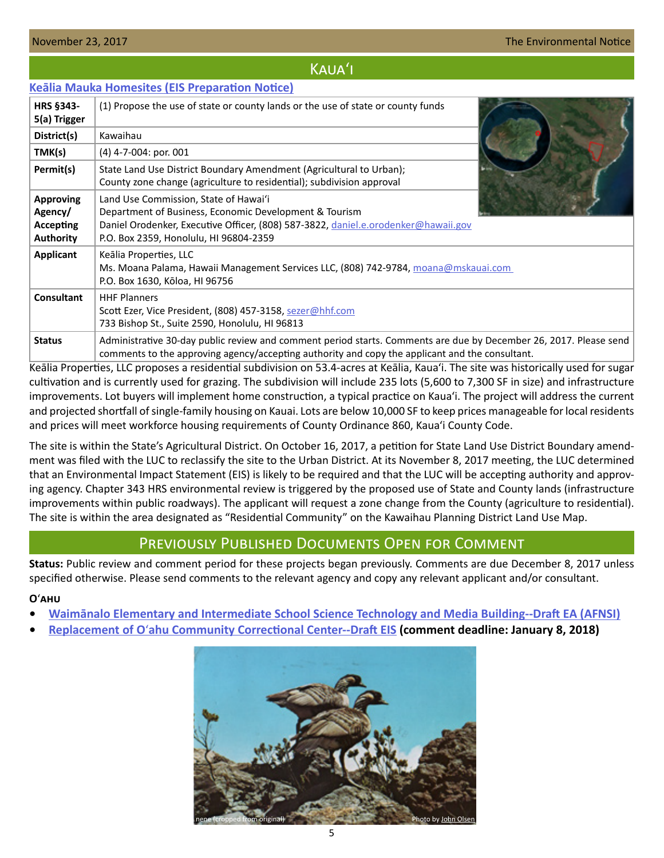#### <span id="page-4-0"></span>November 23, 2017 **The Environmental Notice The Environmental Notice The Environmental Notice**

## Kauaʻi

## **[Keālia Mauka Homesites \(EIS Preparation Notice\)](http://oeqc2.doh.hawaii.gov/EA_EIS_Library/2017-11-23-KA-EISPN-Kealia-Mauka-Homesites.pdf)**

| <b>HRS §343-</b><br>5(a) Trigger                             | (1) Propose the use of state or county lands or the use of state or county funds                                                                                                                                                |
|--------------------------------------------------------------|---------------------------------------------------------------------------------------------------------------------------------------------------------------------------------------------------------------------------------|
| District(s)                                                  | Kawaihau                                                                                                                                                                                                                        |
| TMK(s)                                                       | $(4)$ 4-7-004: por. 001                                                                                                                                                                                                         |
| Permit(s)                                                    | State Land Use District Boundary Amendment (Agricultural to Urban);<br>County zone change (agriculture to residential); subdivision approval                                                                                    |
| <b>Approving</b><br>Agency/<br>Accepting<br><b>Authority</b> | Land Use Commission, State of Hawai'i<br>Department of Business, Economic Development & Tourism<br>Daniel Orodenker, Executive Officer, (808) 587-3822, daniel.e.orodenker@hawaii.gov<br>P.O. Box 2359, Honolulu, HI 96804-2359 |
| Applicant                                                    | Keālia Properties, LLC<br>Ms. Moana Palama, Hawaii Management Services LLC, (808) 742-9784, moana@mskauai.com<br>P.O. Box 1630, Kōloa, HI 96756                                                                                 |
| Consultant                                                   | <b>HHF Planners</b><br>Scott Ezer, Vice President, (808) 457-3158, sezer@hhf.com<br>733 Bishop St., Suite 2590, Honolulu, HI 96813                                                                                              |
| <b>Status</b>                                                | Administrative 30-day public review and comment period starts. Comments are due by December 26, 2017. Please send<br>comments to the approving agency/accepting authority and copy the applicant and the consultant.            |

Keālia Properties, LLC proposes a residential subdivision on 53.4-acres at Keālia, Kaua'i. The site was historically used for sugar cultivation and is currently used for grazing. The subdivision will include 235 lots (5,600 to 7,300 SF in size) and infrastructure improvements. Lot buyers will implement home construction, a typical practice on Kaua'i. The project will address the current and projected shortfall of single-family housing on Kauai. Lots are below 10,000 SF to keep prices manageable for local residents and prices will meet workforce housing requirements of County Ordinance 860, Kaua'i County Code.

The site is within the State's Agricultural District. On October 16, 2017, a petition for State Land Use District Boundary amendment was filed with the LUC to reclassify the site to the Urban District. At its November 8, 2017 meeting, the LUC determined that an Environmental Impact Statement (EIS) is likely to be required and that the LUC will be accepting authority and approving agency. Chapter 343 HRS environmental review is triggered by the proposed use of State and County lands (infrastructure improvements within public roadways). The applicant will request a zone change from the County (agriculture to residential). The site is within the area designated as "Residential Community" on the Kawaihau Planning District Land Use Map.

## Previously Published Documents Open for Comment

**Status:** Public review and comment period for these projects began previously. Comments are due December 8, 2017 unless specified otherwise. Please send comments to the relevant agency and copy any relevant applicant and/or consultant.

#### **O**ʻ**ahu**

- **• Waim[ānalo Elementary and Intermediate School Science Technology and Media Building--Draft EA \(AFNSI\)](http://oeqc2.doh.hawaii.gov/EA_EIS_Library/2017-11-08-OA-DEA-Waimanalo-Elem-and-Int-School-STM-Building.pdf)**
- **• Replacement of O**ʻ**[ahu Community Correctional Center--Draft EIS](http://oeqc2.doh.hawaii.gov/EA_EIS_Library/2017-11-08-OA-DEIS-Replacement-of-Oahu-Community-Correctional-Center.pdf) (comment deadline: January 8, 2018)**

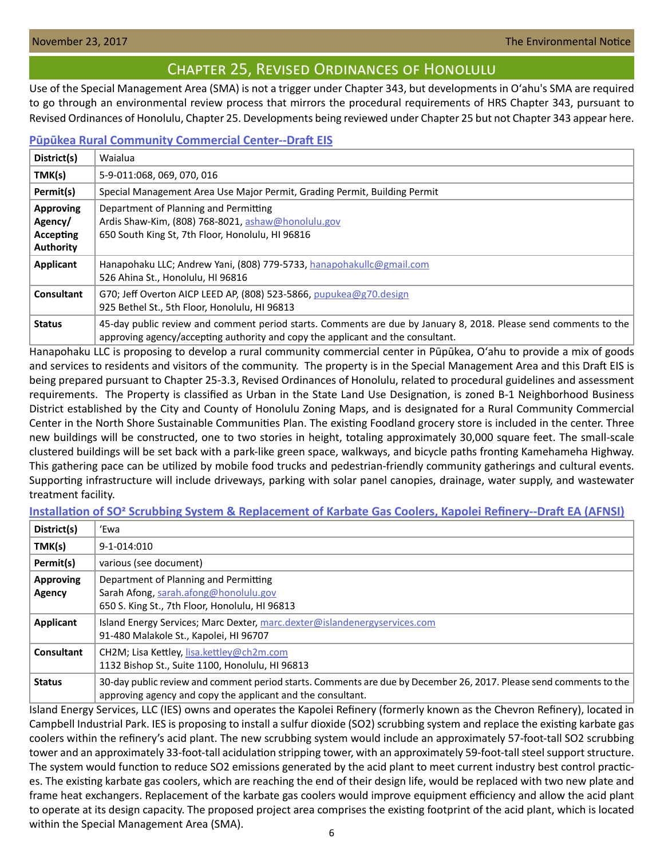## Chapter 25, Revised Ordinances of Honolulu

<span id="page-5-0"></span>Use of the Special Management Area (SMA) is not a trigger under Chapter 343, but developments in Oʻahu's SMA are required to go through an environmental review process that mirrors the procedural requirements of HRS Chapter 343, pursuant to Revised Ordinances of Honolulu, Chapter 25. Developments being reviewed under Chapter 25 but not Chapter 343 appear here.

## **[Pūpūkea Rural Community Commercial Center--Draft EIS](http://oeqc2.doh.hawaii.gov/Other_TEN_Publications/2017-11-23-OA-Chapter-25-DEIS-Pupukea-Rural-Community-Commercial-Center.pdf)**

| District(s)                              | Waialua                                                                                                                                                                                             |
|------------------------------------------|-----------------------------------------------------------------------------------------------------------------------------------------------------------------------------------------------------|
| TMK(s)                                   | 5-9-011:068, 069, 070, 016                                                                                                                                                                          |
| Permit(s)                                | Special Management Area Use Major Permit, Grading Permit, Building Permit                                                                                                                           |
| <b>Approving</b><br>Agency/<br>Accepting | Department of Planning and Permitting<br>Ardis Shaw-Kim, (808) 768-8021, ashaw@honolulu.gov<br>650 South King St, 7th Floor, Honolulu, HI 96816                                                     |
| <b>Authority</b><br>Applicant            | Hanapohaku LLC; Andrew Yani, (808) 779-5733, hanapohakullc@gmail.com<br>526 Ahina St., Honolulu, HI 96816                                                                                           |
| <b>Consultant</b>                        | G70; Jeff Overton AICP LEED AP, (808) 523-5866, pupukea@g70.design<br>925 Bethel St., 5th Floor, Honolulu, HI 96813                                                                                 |
| <b>Status</b>                            | 45-day public review and comment period starts. Comments are due by January 8, 2018. Please send comments to the<br>approving agency/accepting authority and copy the applicant and the consultant. |

Hanapohaku LLC is proposing to develop a rural community commercial center in Pūpūkea, Oʻahu to provide a mix of goods and services to residents and visitors of the community. The property is in the Special Management Area and this Draft EIS is being prepared pursuant to Chapter 25-3.3, Revised Ordinances of Honolulu, related to procedural guidelines and assessment requirements. The Property is classified as Urban in the State Land Use Designation, is zoned B-1 Neighborhood Business District established by the City and County of Honolulu Zoning Maps, and is designated for a Rural Community Commercial Center in the North Shore Sustainable Communities Plan. The existing Foodland grocery store is included in the center. Three new buildings will be constructed, one to two stories in height, totaling approximately 30,000 square feet. The small-scale clustered buildings will be set back with a park-like green space, walkways, and bicycle paths fronting Kamehameha Highway. This gathering pace can be utilized by mobile food trucks and pedestrian-friendly community gatherings and cultural events. Supporting infrastructure will include driveways, parking with solar panel canopies, drainage, water supply, and wastewater treatment facility.

## **Installation of SO<sup>2</sup> Scrubbing System & Replacement of Karbate Gas Coolers, Kapolei Refinery--Draft EA (AFNSI)**

| District(s)                | 'Ewa                                                                                                                                                                              |
|----------------------------|-----------------------------------------------------------------------------------------------------------------------------------------------------------------------------------|
| TMK(s)                     | 9-1-014:010                                                                                                                                                                       |
| Permit(s)                  | various (see document)                                                                                                                                                            |
| <b>Approving</b><br>Agency | Department of Planning and Permitting<br>Sarah Afong, sarah.afong@honolulu.gov<br>650 S. King St., 7th Floor, Honolulu, HI 96813                                                  |
| Applicant                  | Island Energy Services; Marc Dexter, marc.dexter@islandenergyservices.com<br>91-480 Malakole St., Kapolei, HI 96707                                                               |
| Consultant                 | CH2M; Lisa Kettley, lisa.kettley@ch2m.com<br>1132 Bishop St., Suite 1100, Honolulu, HI 96813                                                                                      |
| <b>Status</b>              | 30-day public review and comment period starts. Comments are due by December 26, 2017. Please send comments to the<br>approving agency and copy the applicant and the consultant. |

Island Energy Services, LLC (IES) owns and operates the Kapolei Refinery (formerly known as the Chevron Refinery), located in Campbell Industrial Park. IES is proposing to install a sulfur dioxide (SO2) scrubbing system and replace the existing karbate gas coolers within the refinery's acid plant. The new scrubbing system would include an approximately 57-foot-tall SO2 scrubbing tower and an approximately 33-foot-tall acidulation stripping tower, with an approximately 59-foot-tall steel support structure. The system would function to reduce SO2 emissions generated by the acid plant to meet current industry best control practices. The existing karbate gas coolers, which are reaching the end of their design life, would be replaced with two new plate and frame heat exchangers. Replacement of the karbate gas coolers would improve equipment efficiency and allow the acid plant to operate at its design capacity. The proposed project area comprises the existing footprint of the acid plant, which is located within the Special Management Area (SMA).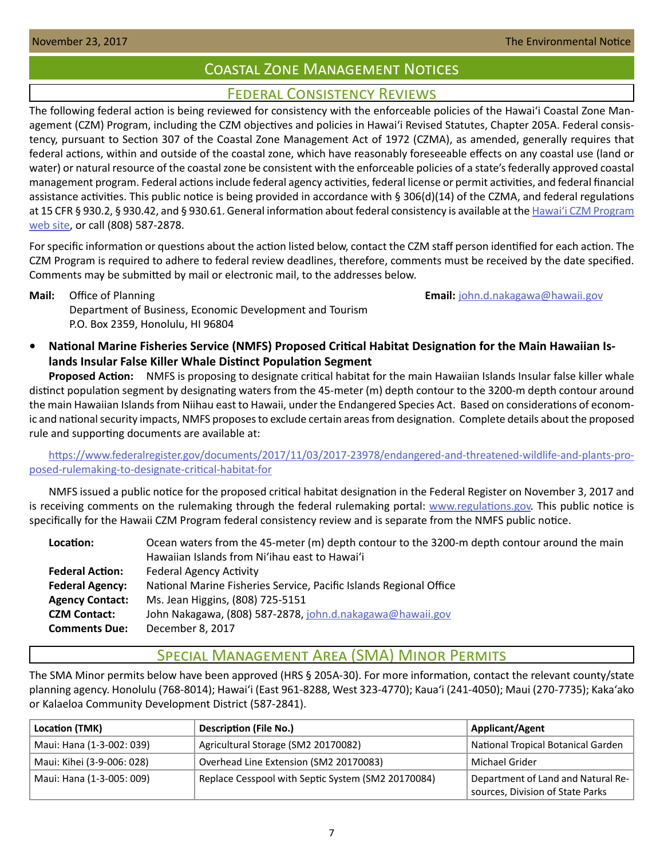# Coastal Zone Management Notices

## Federal Consistency Reviews

<span id="page-6-0"></span>The following federal action is being reviewed for consistency with the enforceable policies of the Hawaiʻi Coastal Zone Management (CZM) Program, including the CZM objectives and policies in Hawaiʻi Revised Statutes, Chapter 205A. Federal consistency, pursuant to Section 307 of the Coastal Zone Management Act of 1972 (CZMA), as amended, generally requires that federal actions, within and outside of the coastal zone, which have reasonably foreseeable effects on any coastal use (land or water) or natural resource of the coastal zone be consistent with the enforceable policies of a state's federally approved coastal management program. Federal actions include federal agency activities, federal license or permit activities, and federal financial assistance activities. This public notice is being provided in accordance with § 306(d)(14) of the CZMA, and federal regulations at 15 CFR § 930.2, § 930.42, and § 930.61. General information about federal consistency is available at the Hawai[ʻi CZM Program](http://planning.hawaii.gov/czm/federal-consistency/)  [web site](http://planning.hawaii.gov/czm/federal-consistency/), or call (808) 587-2878.

For specific information or questions about the action listed below, contact the CZM staff person identified for each action. The CZM Program is required to adhere to federal review deadlines, therefore, comments must be received by the date specified. Comments may be submitted by mail or electronic mail, to the addresses below.

**Mail:** Office of Planning **Email:**  $\frac{1}{2}$  **Email:**  $\frac{1}{2}$  **Email:**  $\frac{1}{2}$  **Email:**  $\frac{1}{2}$  **Email:**  $\frac{1}{2}$  **Email:**  $\frac{1}{2}$  **Email:**  $\frac{1}{2}$  **Email:**  $\frac{1}{2}$  **Email:**  $\frac{1}{2}$  **Email:**  $\frac{1}{2}$  **Emai** 

Department of Business, Economic Development and Tourism P.O. Box 2359, Honolulu, HI 96804

**• National Marine Fisheries Service (NMFS) Proposed Critical Habitat Designation for the Main Hawaiian Islands Insular False Killer Whale Distinct Population Segment**

**Proposed Action:** NMFS is proposing to designate critical habitat for the main Hawaiian Islands Insular false killer whale distinct population segment by designating waters from the 45-meter (m) depth contour to the 3200-m depth contour around the main Hawaiian Islands from Niihau east to Hawaii, under the Endangered Species Act. Based on considerations of economic and national security impacts, NMFS proposes to exclude certain areas from designation. Complete details about the proposed rule and supporting documents are available at:

[https://www.federalregister.gov/documents/2017/11/03/2017-23978/endangered-and-threatened-wildlife-and-plants-pro](https://www.federalregister.gov/documents/2017/11/03/2017-23978/endangered-and-threatened-wildlife-a)[posed-rulemaking-to-designate-critical-habitat-for](https://www.federalregister.gov/documents/2017/11/03/2017-23978/endangered-and-threatened-wildlife-a)

NMFS issued a public notice for the proposed critical habitat designation in the Federal Register on November 3, 2017 and is receiving comments on the rulemaking through the federal rulemaking portal: [www.regulations.gov](http://www.regulations.gov). This public notice is specifically for the Hawaii CZM Program federal consistency review and is separate from the NMFS public notice.

| Location:              | Ocean waters from the 45-meter (m) depth contour to the 3200-m depth contour around the main |  |  |
|------------------------|----------------------------------------------------------------------------------------------|--|--|
|                        | Hawaiian Islands from Ni'ihau east to Hawai'i                                                |  |  |
| <b>Federal Action:</b> | <b>Federal Agency Activity</b>                                                               |  |  |
| <b>Federal Agency:</b> | National Marine Fisheries Service, Pacific Islands Regional Office                           |  |  |
| <b>Agency Contact:</b> | Ms. Jean Higgins, (808) 725-5151                                                             |  |  |
| <b>CZM Contact:</b>    | John Nakagawa, (808) 587-2878, john.d.nakagawa@hawaii.gov                                    |  |  |
| <b>Comments Due:</b>   | December 8, 2017                                                                             |  |  |

# Special Management Area (SMA) Minor Permits

The SMA Minor permits below have been approved (HRS § 205A-30). For more information, contact the relevant county/state planning agency. Honolulu (768-8014); Hawaiʻi (East 961-8288, West 323-4770); Kauaʻi (241-4050); Maui (270-7735); Kakaʻako or Kalaeloa Community Development District (587-2841).

| Location (TMK)             | <b>Description (File No.)</b>                      | <b>Applicant/Agent</b>                                                 |
|----------------------------|----------------------------------------------------|------------------------------------------------------------------------|
| Maui: Hana (1-3-002: 039)  | Agricultural Storage (SM2 20170082)                | National Tropical Botanical Garden                                     |
| Maui: Kihei (3-9-006: 028) | Overhead Line Extension (SM2 20170083)             | Michael Grider                                                         |
| Maui: Hana (1-3-005: 009)  | Replace Cesspool with Septic System (SM2 20170084) | Department of Land and Natural Re-<br>sources, Division of State Parks |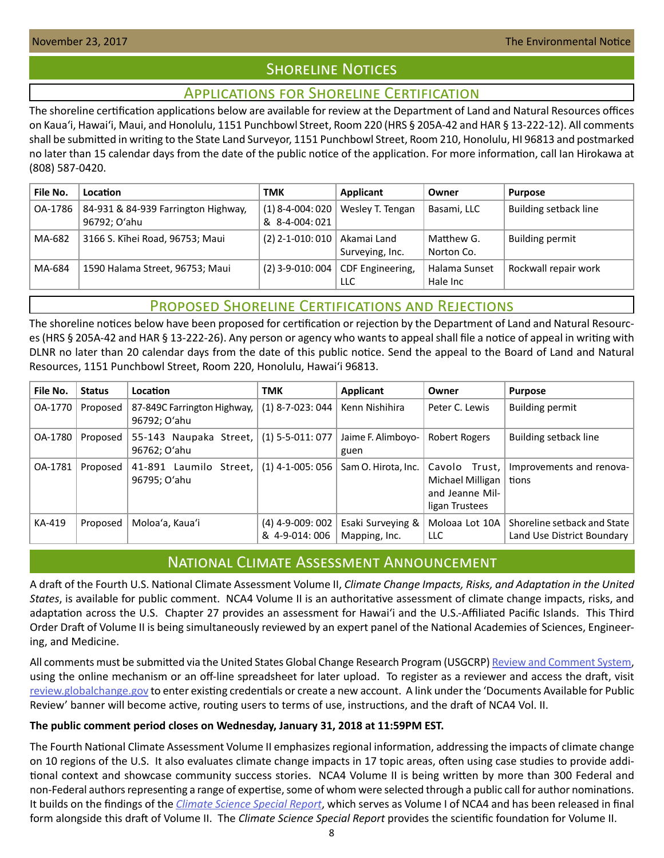# **SHORELINE NOTICES**

## Applications for Shoreline Certification

<span id="page-7-0"></span>The shoreline certification applications below are available for review at the Department of Land and Natural Resources offices on Kauaʻi, Hawaiʻi, Maui, and Honolulu, 1151 Punchbowl Street, Room 220 (HRS § 205A-42 and HAR § 13-222-12). All comments shall be submitted in writing to the State Land Surveyor, 1151 Punchbowl Street, Room 210, Honolulu, HI 96813 and postmarked no later than 15 calendar days from the date of the public notice of the application. For more information, call Ian Hirokawa at (808) 587-0420.

| File No. | Location                                            | <b>TMK</b>                          | Applicant                      | Owner                     | <b>Purpose</b>         |
|----------|-----------------------------------------------------|-------------------------------------|--------------------------------|---------------------------|------------------------|
| OA-1786  | 84-931 & 84-939 Farrington Highway,<br>96792; O'ahu | $(1)$ 8-4-004: 020<br>& 8-4-004:021 | Wesley T. Tengan               | Basami, LLC               | Building setback line  |
| MA-682   | 3166 S. Kīhei Road, 96753; Maui                     | $(2)$ 2-1-010: 010                  | Akamai Land<br>Surveying, Inc. | Matthew G.<br>Norton Co.  | <b>Building permit</b> |
| MA-684   | 1590 Halama Street, 96753; Maui                     | $(2)$ 3-9-010: 004                  | CDF Engineering,<br>LLC.       | Halama Sunset<br>Hale Inc | Rockwall repair work   |

# Proposed Shoreline Certifications and Rejections

The shoreline notices below have been proposed for certification or rejection by the Department of Land and Natural Resources (HRS § 205A-42 and HAR § 13-222-26). Any person or agency who wants to appeal shall file a notice of appeal in writing with DLNR no later than 20 calendar days from the date of this public notice. Send the appeal to the Board of Land and Natural Resources, 1151 Punchbowl Street, Room 220, Honolulu, Hawai'i 96813.

| File No. | <b>Status</b> | Location                                    | <b>TMK</b>                          | <b>Applicant</b>                   | Owner                                                                  | <b>Purpose</b>                                              |
|----------|---------------|---------------------------------------------|-------------------------------------|------------------------------------|------------------------------------------------------------------------|-------------------------------------------------------------|
| OA-1770  | Proposed      | 87-849C Farrington Highway,<br>96792; O'ahu | $(1)$ 8-7-023: 044                  | Kenn Nishihira                     | Peter C. Lewis                                                         | <b>Building permit</b>                                      |
| OA-1780  | Proposed      | 55-143 Naupaka Street,<br>96762; O'ahu      | $(1)$ 5-5-011: 077                  | Jaime F. Alimboyo-<br>guen         | Robert Rogers                                                          | Building setback line                                       |
| OA-1781  | Proposed      | 41-891 Laumilo Street,<br>96795; O'ahu      | $(1)$ 4-1-005: 056                  | Sam O. Hirota, Inc.                | Cavolo Trust.<br>Michael Milligan<br>and Jeanne Mil-<br>ligan Trustees | Improvements and renova-<br>tions                           |
| KA-419   | Proposed      | Moloa'a, Kaua'i                             | $(4)$ 4-9-009: 002<br>& 4-9-014:006 | Esaki Surveying &<br>Mapping, Inc. | Moloaa Lot 10A<br>LLC.                                                 | Shoreline setback and State  <br>Land Use District Boundary |

# National Climate Assessment Announcement

A draft of the Fourth U.S. National Climate Assessment Volume II, *Climate Change Impacts, Risks, and Adaptation in the United States*, is available for public comment. NCA4 Volume II is an authoritative assessment of climate change impacts, risks, and adaptation across the U.S. Chapter 27 provides an assessment for Hawai'i and the U.S.-Affiliated Pacific Islands. This Third Order Draft of Volume II is being simultaneously reviewed by an expert panel of the National Academies of Sciences, Engineering, and Medicine.

All comments must be submitted via the United States Global Change Research Program (USGCRP) [Review and Comment System](https://review.globalchange.gov/), using the online mechanism or an off-line spreadsheet for later upload. To register as a reviewer and access the draft, visit [review.globalchange.gov](http://review.globalchange.gov) to enter existing credentials or create a new account. A link under the 'Documents Available for Public Review' banner will become active, routing users to terms of use, instructions, and the draft of NCA4 Vol. II.

## **The public comment period closes on Wednesday, January 31, 2018 at 11:59PM EST.**

The Fourth National Climate Assessment Volume II emphasizes regional information, addressing the impacts of climate change on 10 regions of the U.S. It also evaluates climate change impacts in 17 topic areas, often using case studies to provide additional context and showcase community success stories. NCA4 Volume II is being written by more than 300 Federal and non-Federal authors representing a range of expertise, some of whom were selected through a public call for author nominations. It builds on the findings of the *[Climate Science Special Report](https://science2017.globalchange.gov/)*, which serves as Volume I of NCA4 and has been released in final form alongside this draft of Volume II. The *Climate Science Special Report* provides the scientific foundation for Volume II.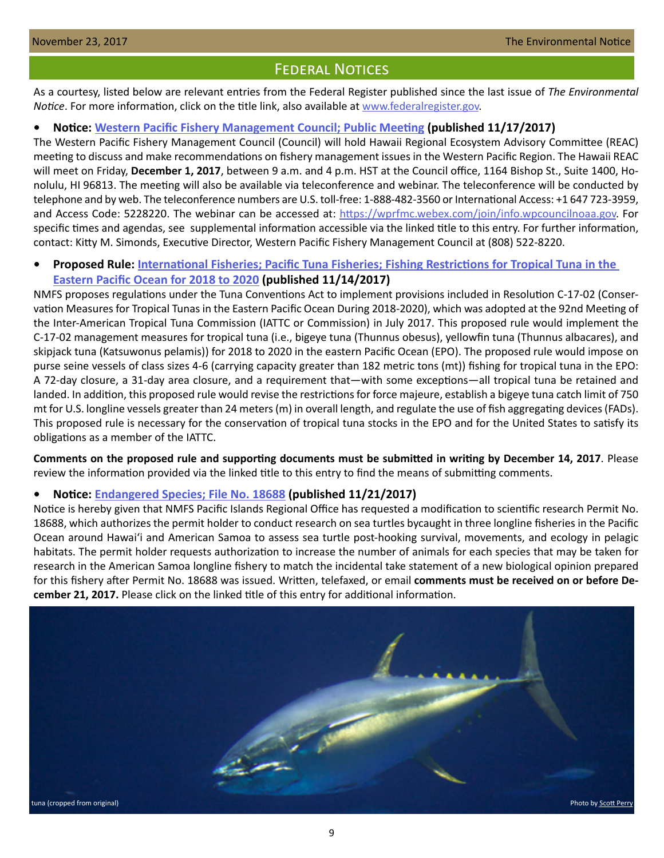## Federal Notices

<span id="page-8-0"></span>As a courtesy, listed below are relevant entries from the Federal Register published since the last issue of *The Environmental Notice*. For more information, click on the title link, also available at [www.federalregister.gov.](http://www.federalregister.gov)

### **• Notice: [Western Pacific Fishery Management Council; Public Meeting](https://www.federalregister.gov/documents/2017/11/17/2017-24960/western-pacific-fishery-management-council-public-meeting) (published 11/17/2017)**

The Western Pacific Fishery Management Council (Council) will hold Hawaii Regional Ecosystem Advisory Committee (REAC) meeting to discuss and make recommendations on fishery management issues in the Western Pacific Region. The Hawaii REAC will meet on Friday, **December 1, 2017**, between 9 a.m. and 4 p.m. HST at the Council office, 1164 Bishop St., Suite 1400, Honolulu, HI 96813. The meeting will also be available via teleconference and webinar. The teleconference will be conducted by telephone and by web. The teleconference numbers are U.S. toll-free: 1-888-482-3560 or International Access: +1 647 723-3959, and Access Code: 5228220. The webinar can be accessed at: [https://wprfmc.webex.com/join/info.wpcouncilnoaa.gov](https://wprfmc.webex.com/ join/ info.wpcouncilnoaa.gov). For specific times and agendas, see supplemental information accessible via the linked title to this entry. For further information, contact: Kitty M. Simonds, Executive Director, Western Pacific Fishery Management Council at (808) 522-8220.

## **• Proposed Rule: [International Fisheries; Pacific Tuna Fisheries; Fishing Restrictions for Tropical Tuna in the](https://www.federalregister.gov/documents/2017/11/14/2017-24606/international-fisheries-pacific-tuna-fisheries-fishing-restrictions-for-tropical-tuna-in-the-eastern)  [Eastern Pacific Ocean for 2018 to 2020](https://www.federalregister.gov/documents/2017/11/14/2017-24606/international-fisheries-pacific-tuna-fisheries-fishing-restrictions-for-tropical-tuna-in-the-eastern) (published 11/14/2017)**

NMFS proposes regulations under the Tuna Conventions Act to implement provisions included in Resolution C-17-02 (Conservation Measures for Tropical Tunas in the Eastern Pacific Ocean During 2018-2020), which was adopted at the 92nd Meeting of the Inter-American Tropical Tuna Commission (IATTC or Commission) in July 2017. This proposed rule would implement the C-17-02 management measures for tropical tuna (i.e., bigeye tuna (Thunnus obesus), yellowfin tuna (Thunnus albacares), and skipjack tuna (Katsuwonus pelamis)) for 2018 to 2020 in the eastern Pacific Ocean (EPO). The proposed rule would impose on purse seine vessels of class sizes 4-6 (carrying capacity greater than 182 metric tons (mt)) fishing for tropical tuna in the EPO: A 72-day closure, a 31-day area closure, and a requirement that—with some exceptions—all tropical tuna be retained and landed. In addition, this proposed rule would revise the restrictions for force majeure, establish a bigeye tuna catch limit of 750 mt for U.S. longline vessels greater than 24 meters (m) in overall length, and regulate the use of fish aggregating devices (FADs). This proposed rule is necessary for the conservation of tropical tuna stocks in the EPO and for the United States to satisfy its obligations as a member of the IATTC.

**Comments on the proposed rule and supporting documents must be submitted in writing by December 14, 2017**. Please review the information provided via the linked title to this entry to find the means of submitting comments.

#### **• Notice: [Endangered Species; File No. 18688](https://www.federalregister.gov/documents/2017/11/21/2017-25163/endangered-species-file-no-18688) (published 11/21/2017)**

Notice is hereby given that NMFS Pacific Islands Regional Office has requested a modification to scientific research Permit No. 18688, which authorizes the permit holder to conduct research on sea turtles bycaught in three longline fisheries in the Pacific Ocean around Hawaiʻi and American Samoa to assess sea turtle post-hooking survival, movements, and ecology in pelagic habitats. The permit holder requests authorization to increase the number of animals for each species that may be taken for research in the American Samoa longline fishery to match the incidental take statement of a new biological opinion prepared for this fishery after Permit No. 18688 was issued. Written, telefaxed, or email **comments must be received on or before December 21, 2017.** Please click on the linked title of this entry for additional information.